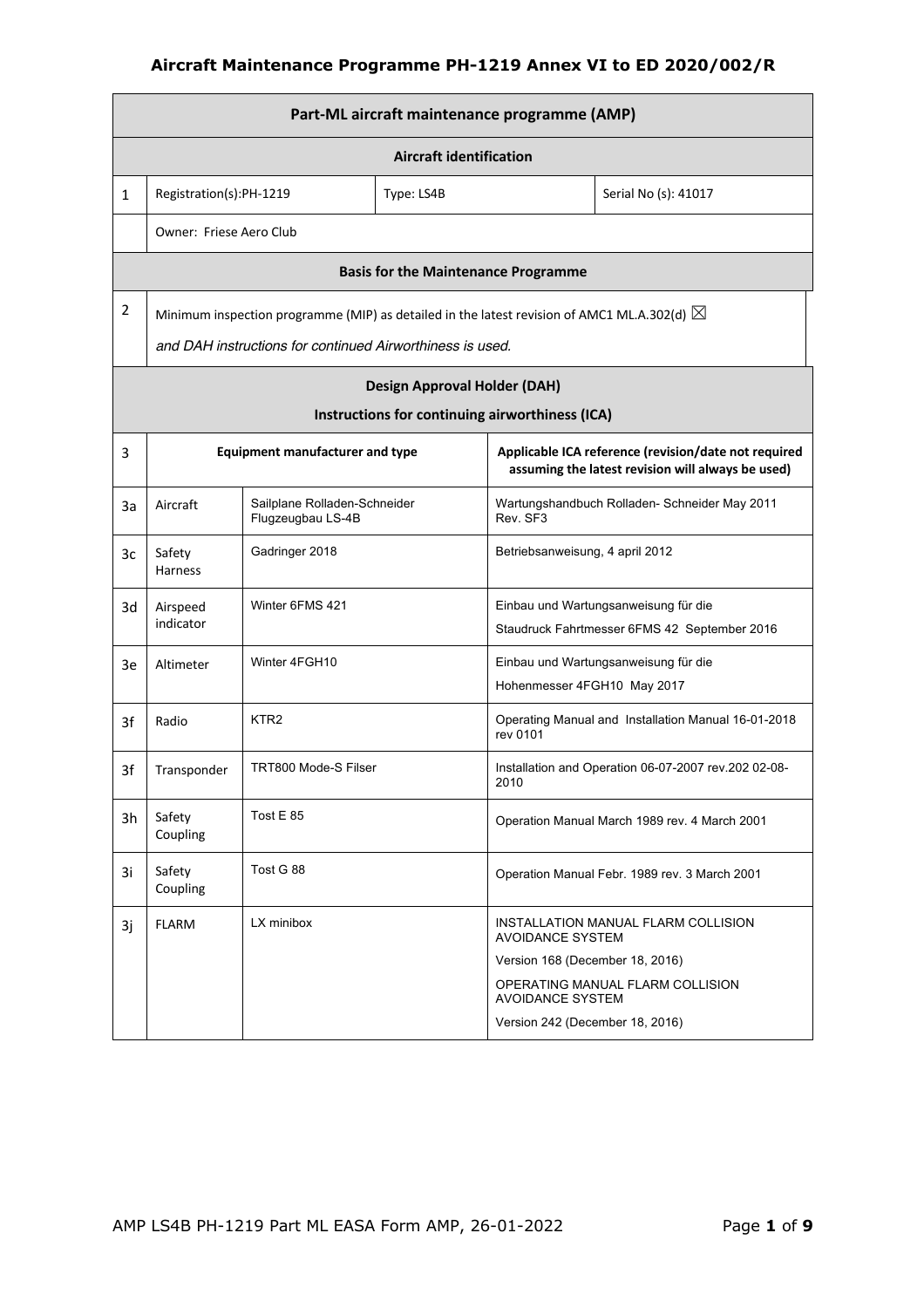|                | Part-ML aircraft maintenance programme (AMP) |                                                                                                       |                                                 |                                 |                                                                                                           |  |  |
|----------------|----------------------------------------------|-------------------------------------------------------------------------------------------------------|-------------------------------------------------|---------------------------------|-----------------------------------------------------------------------------------------------------------|--|--|
|                | <b>Aircraft identification</b>               |                                                                                                       |                                                 |                                 |                                                                                                           |  |  |
| 1              | Registration(s):PH-1219                      |                                                                                                       | Type: LS4B                                      |                                 | Serial No (s): 41017                                                                                      |  |  |
|                | Owner: Friese Aero Club                      |                                                                                                       |                                                 |                                 |                                                                                                           |  |  |
|                |                                              |                                                                                                       | <b>Basis for the Maintenance Programme</b>      |                                 |                                                                                                           |  |  |
| $\overline{2}$ |                                              | Minimum inspection programme (MIP) as detailed in the latest revision of AMC1 ML.A.302(d) $\boxtimes$ |                                                 |                                 |                                                                                                           |  |  |
|                |                                              | and DAH instructions for continued Airworthiness is used.                                             |                                                 |                                 |                                                                                                           |  |  |
|                |                                              |                                                                                                       | <b>Design Approval Holder (DAH)</b>             |                                 |                                                                                                           |  |  |
|                |                                              |                                                                                                       | Instructions for continuing airworthiness (ICA) |                                 |                                                                                                           |  |  |
| 3              |                                              | <b>Equipment manufacturer and type</b>                                                                |                                                 |                                 | Applicable ICA reference (revision/date not required<br>assuming the latest revision will always be used) |  |  |
| За             | Aircraft                                     | Sailplane Rolladen-Schneider<br>Flugzeugbau LS-4B                                                     |                                                 | Rev. SF3                        | Wartungshandbuch Rolladen- Schneider May 2011                                                             |  |  |
| 3c             | Safety<br><b>Harness</b>                     | Gadringer 2018                                                                                        |                                                 | Betriebsanweisung, 4 april 2012 |                                                                                                           |  |  |
| 3d             | Airspeed<br>indicator                        | Winter 6FMS 421                                                                                       |                                                 |                                 | Einbau und Wartungsanweisung für die<br>Staudruck Fahrtmesser 6FMS 42 September 2016                      |  |  |
| 3e             | Altimeter                                    | Winter 4FGH10                                                                                         |                                                 |                                 | Einbau und Wartungsanweisung für die                                                                      |  |  |
|                |                                              |                                                                                                       |                                                 | Hohenmesser 4FGH10 May 2017     |                                                                                                           |  |  |
| 3f             | Radio                                        | KTR <sub>2</sub>                                                                                      |                                                 | rev 0101                        | Operating Manual and Installation Manual 16-01-2018                                                       |  |  |
| 3f             | Transponder                                  | TRT800 Mode-S Filser                                                                                  |                                                 | 2010                            | Installation and Operation 06-07-2007 rev.202 02-08-                                                      |  |  |
| 3h             | Safety<br>Coupling                           | Tost E 85                                                                                             |                                                 |                                 | Operation Manual March 1989 rev. 4 March 2001                                                             |  |  |
| 3i             | Safety<br>Coupling                           | Tost G 88                                                                                             |                                                 |                                 | Operation Manual Febr. 1989 rev. 3 March 2001                                                             |  |  |
| 3j             | <b>FLARM</b>                                 | LX minibox                                                                                            |                                                 | AVOIDANCE SYSTEM                | INSTALLATION MANUAL FLARM COLLISION                                                                       |  |  |
|                |                                              |                                                                                                       |                                                 | Version 168 (December 18, 2016) |                                                                                                           |  |  |
|                |                                              |                                                                                                       |                                                 | <b>AVOIDANCE SYSTEM</b>         | OPERATING MANUAL FLARM COLLISION                                                                          |  |  |
|                |                                              |                                                                                                       |                                                 | Version 242 (December 18, 2016) |                                                                                                           |  |  |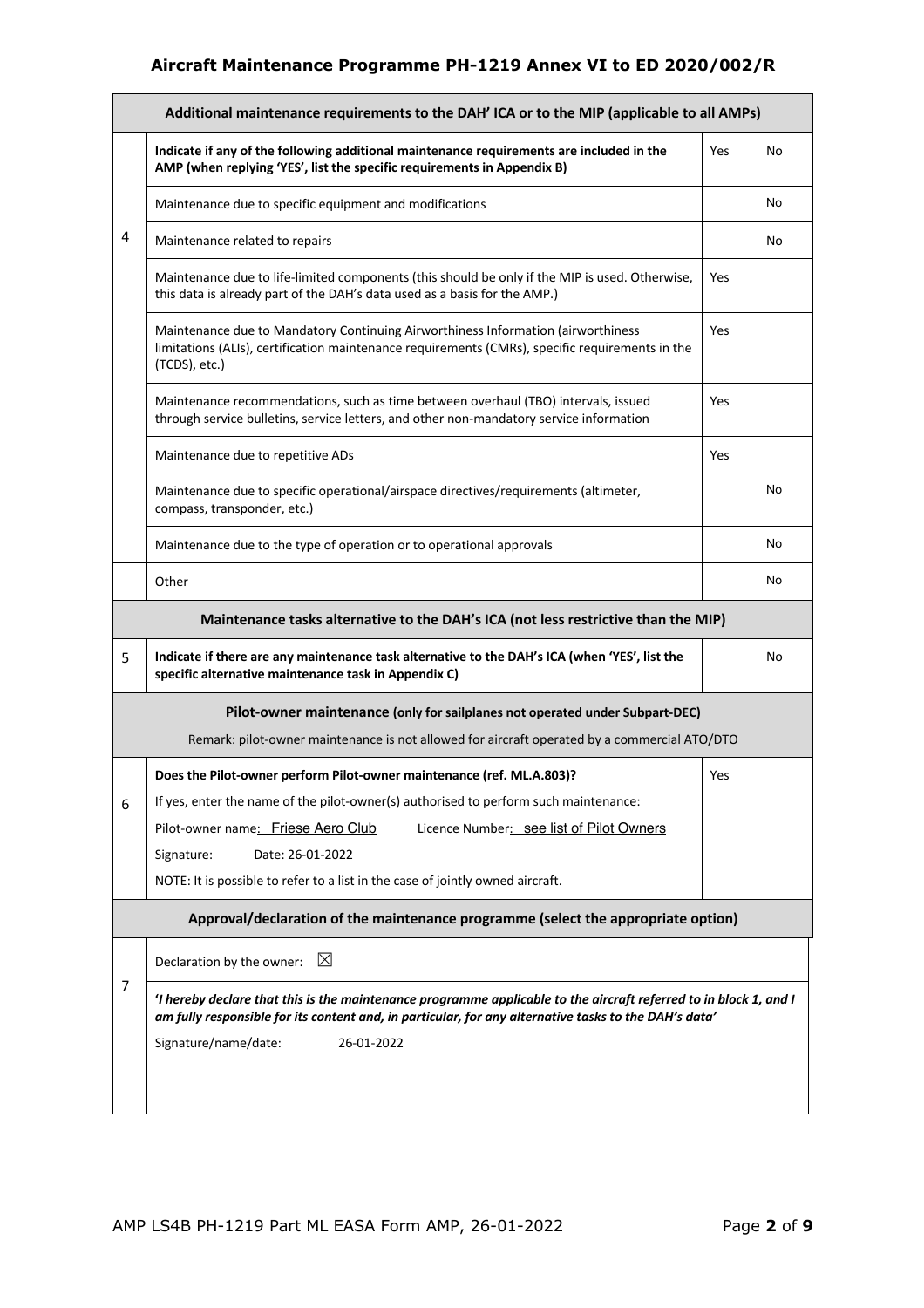|                | Additional maintenance requirements to the DAH' ICA or to the MIP (applicable to all AMPs)                                                                                                                                                                       |     |    |
|----------------|------------------------------------------------------------------------------------------------------------------------------------------------------------------------------------------------------------------------------------------------------------------|-----|----|
|                | Indicate if any of the following additional maintenance requirements are included in the<br>AMP (when replying 'YES', list the specific requirements in Appendix B)                                                                                              | Yes | No |
|                | Maintenance due to specific equipment and modifications                                                                                                                                                                                                          |     | No |
| 4              | Maintenance related to repairs                                                                                                                                                                                                                                   |     | No |
|                | Maintenance due to life-limited components (this should be only if the MIP is used. Otherwise,<br>this data is already part of the DAH's data used as a basis for the AMP.)                                                                                      | Yes |    |
|                | Maintenance due to Mandatory Continuing Airworthiness Information (airworthiness<br>limitations (ALIs), certification maintenance requirements (CMRs), specific requirements in the<br>(TCDS), etc.)                                                             | Yes |    |
|                | Maintenance recommendations, such as time between overhaul (TBO) intervals, issued<br>through service bulletins, service letters, and other non-mandatory service information                                                                                    | Yes |    |
|                | Maintenance due to repetitive ADs                                                                                                                                                                                                                                | Yes |    |
|                | Maintenance due to specific operational/airspace directives/requirements (altimeter,<br>compass, transponder, etc.)                                                                                                                                              |     | No |
|                | Maintenance due to the type of operation or to operational approvals                                                                                                                                                                                             |     | No |
|                | Other                                                                                                                                                                                                                                                            |     | No |
|                | Maintenance tasks alternative to the DAH's ICA (not less restrictive than the MIP)                                                                                                                                                                               |     |    |
| 5              | Indicate if there are any maintenance task alternative to the DAH's ICA (when 'YES', list the<br>specific alternative maintenance task in Appendix C)                                                                                                            |     | No |
|                | Pilot-owner maintenance (only for sailplanes not operated under Subpart-DEC)<br>Remark: pilot-owner maintenance is not allowed for aircraft operated by a commercial ATO/DTO                                                                                     |     |    |
|                | Does the Pilot-owner perform Pilot-owner maintenance (ref. ML.A.803)?                                                                                                                                                                                            | Yes |    |
| 6              | If yes, enter the name of the pilot-owner(s) authorised to perform such maintenance:                                                                                                                                                                             |     |    |
|                | Pilot-owner name: Friese Aero Club<br>Licence Number: see list of Pilot Owners                                                                                                                                                                                   |     |    |
|                | Signature:<br>Date: 26-01-2022                                                                                                                                                                                                                                   |     |    |
|                | NOTE: It is possible to refer to a list in the case of jointly owned aircraft.                                                                                                                                                                                   |     |    |
|                | Approval/declaration of the maintenance programme (select the appropriate option)                                                                                                                                                                                |     |    |
|                | $\boxtimes$<br>Declaration by the owner:                                                                                                                                                                                                                         |     |    |
| $\overline{7}$ | 'I hereby declare that this is the maintenance programme applicable to the aircraft referred to in block 1, and I<br>am fully responsible for its content and, in particular, for any alternative tasks to the DAH's data'<br>Signature/name/date:<br>26-01-2022 |     |    |
|                |                                                                                                                                                                                                                                                                  |     |    |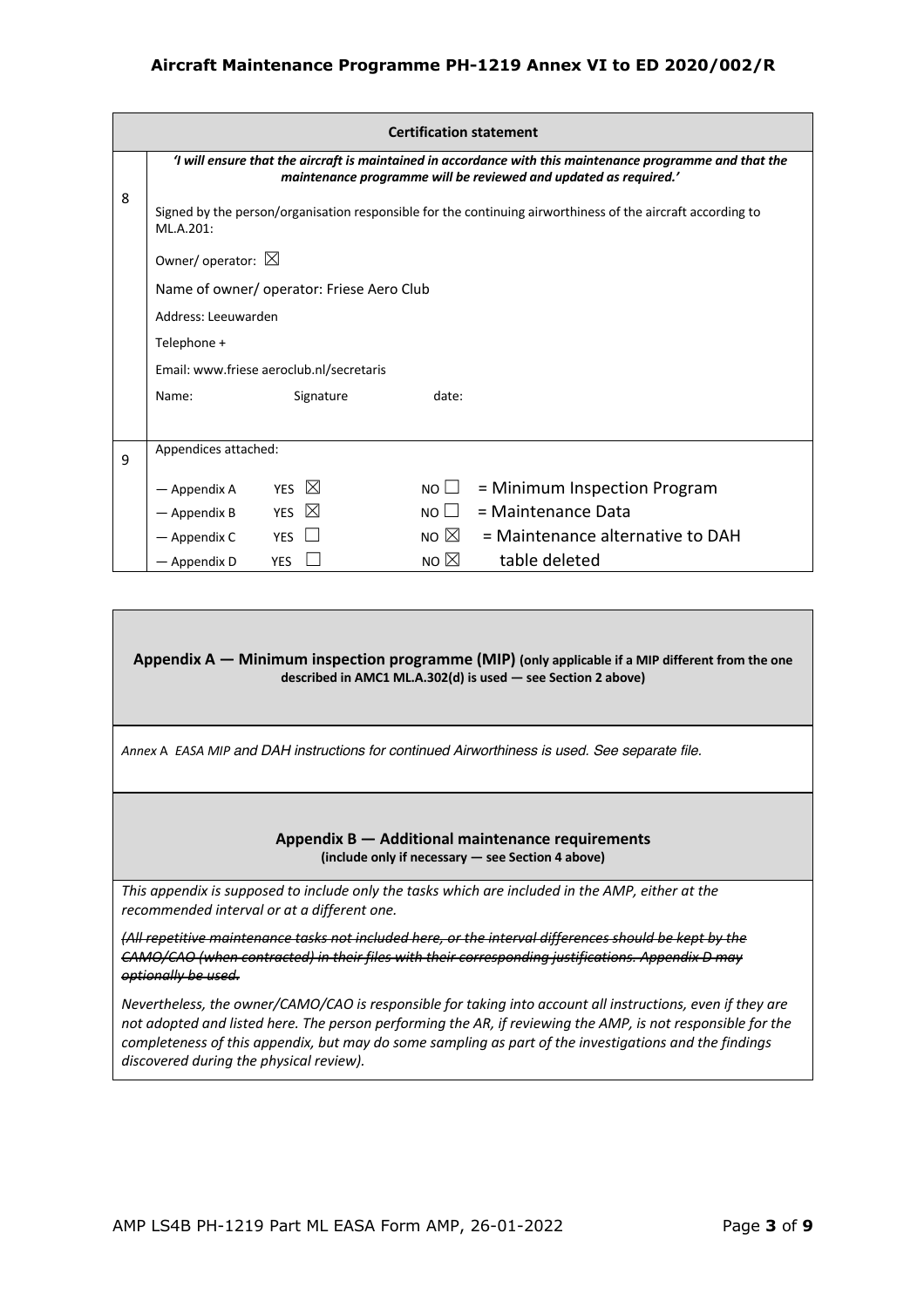|   |                                                                                                                          |                                          | <b>Certification statement</b> |                                                                                                                                                                               |  |  |
|---|--------------------------------------------------------------------------------------------------------------------------|------------------------------------------|--------------------------------|-------------------------------------------------------------------------------------------------------------------------------------------------------------------------------|--|--|
|   |                                                                                                                          |                                          |                                | 'I will ensure that the aircraft is maintained in accordance with this maintenance programme and that the<br>maintenance programme will be reviewed and updated as required.' |  |  |
| 8 | Signed by the person/organisation responsible for the continuing airworthiness of the aircraft according to<br>ML.A.201: |                                          |                                |                                                                                                                                                                               |  |  |
|   | Owner/operator: $\boxtimes$                                                                                              |                                          |                                |                                                                                                                                                                               |  |  |
|   |                                                                                                                          | Name of owner/operator: Friese Aero Club |                                |                                                                                                                                                                               |  |  |
|   | Address: Leeuwarden                                                                                                      |                                          |                                |                                                                                                                                                                               |  |  |
|   | Telephone +                                                                                                              |                                          |                                |                                                                                                                                                                               |  |  |
|   |                                                                                                                          | Email: www.friese aeroclub.nl/secretaris |                                |                                                                                                                                                                               |  |  |
|   | Name:                                                                                                                    | Signature                                | date:                          |                                                                                                                                                                               |  |  |
|   |                                                                                                                          |                                          |                                |                                                                                                                                                                               |  |  |
| 9 | Appendices attached:                                                                                                     |                                          |                                |                                                                                                                                                                               |  |  |
|   | — Appendix A                                                                                                             | YES $\boxtimes$                          | $NO \Box$                      | $=$ Minimum Inspection Program                                                                                                                                                |  |  |
|   | - Appendix B                                                                                                             | YES $\boxtimes$                          | $NO \Box$                      | = Maintenance Data                                                                                                                                                            |  |  |
|   | — Appendix C                                                                                                             | <b>YES</b>                               | NO $\boxtimes$                 | = Maintenance alternative to DAH                                                                                                                                              |  |  |
|   | — Appendix D                                                                                                             | <b>YES</b>                               | NO $\boxtimes$                 | table deleted                                                                                                                                                                 |  |  |

**Appendix A — Minimum inspection programme (MIP) (only applicable if a MIP different from the one described in AMC1 ML.A.302(d) is used — see Section 2 above)** 

*Annex* A *EASA MIP and DAH instructions for continued Airworthiness is used. See separate file.*

#### **Appendix B — Additional maintenance requirements (include only if necessary — see Section 4 above)**

*This appendix is supposed to include only the tasks which are included in the AMP, either at the recommended interval or at a different one.* 

*(All repetitive maintenance tasks not included here, or the interval differences should be kept by the CAMO/CAO (when contracted) in their files with their corresponding justifications. Appendix D may optionally be used.* 

*Nevertheless, the owner/CAMO/CAO is responsible for taking into account all instructions, even if they are not adopted and listed here. The person performing the AR, if reviewing the AMP, is not responsible for the completeness of this appendix, but may do some sampling as part of the investigations and the findings discovered during the physical review).*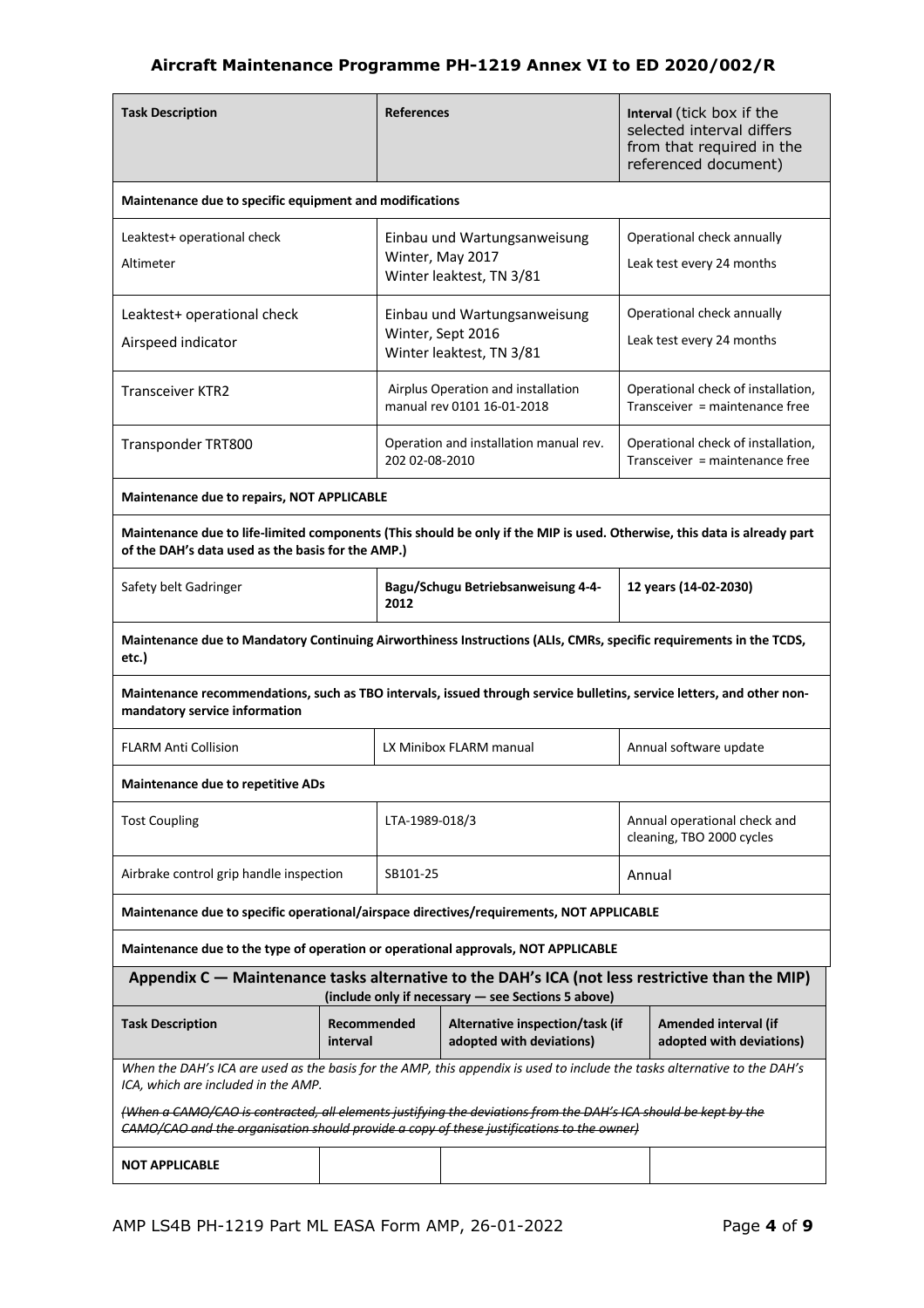| <b>Task Description</b>                                                                                                                                                       |                                                                                                                                                                                                              | <b>References</b> |                                                                               |        | Interval (tick box if the<br>selected interval differs<br>from that required in the<br>referenced document) |
|-------------------------------------------------------------------------------------------------------------------------------------------------------------------------------|--------------------------------------------------------------------------------------------------------------------------------------------------------------------------------------------------------------|-------------------|-------------------------------------------------------------------------------|--------|-------------------------------------------------------------------------------------------------------------|
| Maintenance due to specific equipment and modifications                                                                                                                       |                                                                                                                                                                                                              |                   |                                                                               |        |                                                                                                             |
| Leaktest+ operational check<br>Altimeter                                                                                                                                      |                                                                                                                                                                                                              |                   | Einbau und Wartungsanweisung<br>Winter, May 2017<br>Winter leaktest, TN 3/81  |        | Operational check annually<br>Leak test every 24 months                                                     |
| Leaktest+ operational check<br>Airspeed indicator                                                                                                                             |                                                                                                                                                                                                              |                   | Einbau und Wartungsanweisung<br>Winter, Sept 2016<br>Winter leaktest, TN 3/81 |        | Operational check annually<br>Leak test every 24 months                                                     |
| <b>Transceiver KTR2</b>                                                                                                                                                       |                                                                                                                                                                                                              |                   | Airplus Operation and installation<br>manual rev 0101 16-01-2018              |        | Operational check of installation,<br>Transceiver = maintenance free                                        |
| Transponder TRT800                                                                                                                                                            |                                                                                                                                                                                                              | 202 02-08-2010    | Operation and installation manual rev.                                        |        | Operational check of installation,<br>Transceiver = maintenance free                                        |
| Maintenance due to repairs, NOT APPLICABLE                                                                                                                                    |                                                                                                                                                                                                              |                   |                                                                               |        |                                                                                                             |
| Maintenance due to life-limited components (This should be only if the MIP is used. Otherwise, this data is already part<br>of the DAH's data used as the basis for the AMP.) |                                                                                                                                                                                                              |                   |                                                                               |        |                                                                                                             |
| Safety belt Gadringer                                                                                                                                                         |                                                                                                                                                                                                              | 2012              | Bagu/Schugu Betriebsanweisung 4-4-                                            |        | 12 years (14-02-2030)                                                                                       |
| Maintenance due to Mandatory Continuing Airworthiness Instructions (ALIs, CMRs, specific requirements in the TCDS,<br>etc.)                                                   |                                                                                                                                                                                                              |                   |                                                                               |        |                                                                                                             |
| Maintenance recommendations, such as TBO intervals, issued through service bulletins, service letters, and other non-<br>mandatory service information                        |                                                                                                                                                                                                              |                   |                                                                               |        |                                                                                                             |
| <b>FLARM Anti Collision</b>                                                                                                                                                   |                                                                                                                                                                                                              |                   | LX Minibox FLARM manual                                                       |        | Annual software update                                                                                      |
| <b>Maintenance due to repetitive ADs</b>                                                                                                                                      |                                                                                                                                                                                                              |                   |                                                                               |        |                                                                                                             |
| <b>Tost Coupling</b>                                                                                                                                                          |                                                                                                                                                                                                              | LTA-1989-018/3    |                                                                               |        | Annual operational check and<br>cleaning, TBO 2000 cycles                                                   |
| Airbrake control grip handle inspection                                                                                                                                       |                                                                                                                                                                                                              | SB101-25          |                                                                               | Annual |                                                                                                             |
| Maintenance due to specific operational/airspace directives/requirements, NOT APPLICABLE                                                                                      |                                                                                                                                                                                                              |                   |                                                                               |        |                                                                                                             |
| Maintenance due to the type of operation or operational approvals, NOT APPLICABLE                                                                                             |                                                                                                                                                                                                              |                   |                                                                               |        |                                                                                                             |
| Appendix C - Maintenance tasks alternative to the DAH's ICA (not less restrictive than the MIP)                                                                               |                                                                                                                                                                                                              |                   | (include only if necessary - see Sections 5 above)                            |        |                                                                                                             |
| <b>Task Description</b><br>Recommended<br>interval                                                                                                                            |                                                                                                                                                                                                              |                   | Alternative inspection/task (if<br>adopted with deviations)                   |        | Amended interval (if<br>adopted with deviations)                                                            |
| When the DAH's ICA are used as the basis for the AMP, this appendix is used to include the tasks alternative to the DAH's<br>ICA, which are included in the AMP.              |                                                                                                                                                                                                              |                   |                                                                               |        |                                                                                                             |
|                                                                                                                                                                               | (When a CAMO/CAO is contracted, all elements justifying the deviations from the DAH's ICA should be kept by the<br>CAMO/CAO and the organisation should provide a copy of these justifications to the owner) |                   |                                                                               |        |                                                                                                             |
| <b>NOT APPLICABLE</b>                                                                                                                                                         |                                                                                                                                                                                                              |                   |                                                                               |        |                                                                                                             |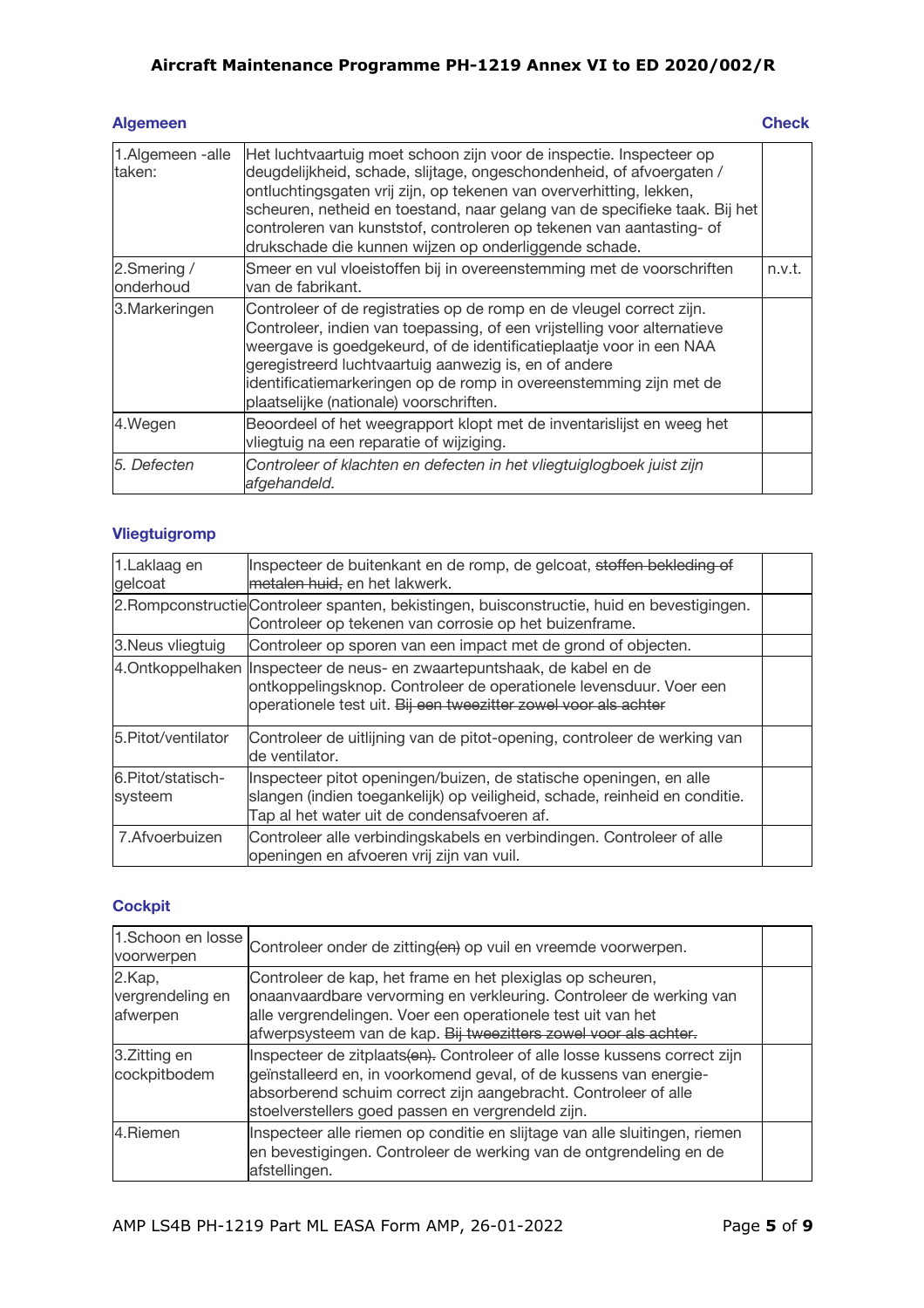| <b>Algemeen</b>            |                                                                                                                                                                                                                                                                                                                                                                                                                                   | <b>Check</b> |
|----------------------------|-----------------------------------------------------------------------------------------------------------------------------------------------------------------------------------------------------------------------------------------------------------------------------------------------------------------------------------------------------------------------------------------------------------------------------------|--------------|
| 1.Algemeen -alle<br>taken: | Het luchtvaartuig moet schoon zijn voor de inspectie. Inspecteer op<br>deugdelijkheid, schade, slijtage, ongeschondenheid, of afvoergaten /<br>ontluchtingsgaten vrij zijn, op tekenen van oververhitting, lekken,<br>scheuren, netheid en toestand, naar gelang van de specifieke taak. Bij het<br>controleren van kunststof, controleren op tekenen van aantasting- of<br>drukschade die kunnen wijzen op onderliggende schade. |              |
| 2.Smering /<br>onderhoud   | Smeer en vul vloeistoffen bij in overeenstemming met de voorschriften<br>van de fabrikant.                                                                                                                                                                                                                                                                                                                                        | n.v.t.       |
| 3. Markeringen             | Controleer of de registraties op de romp en de vleugel correct zijn.<br>Controleer, indien van toepassing, of een vrijstelling voor alternatieve<br>weergave is goedgekeurd, of de identificatieplaatje voor in een NAA<br>geregistreerd luchtvaartuig aanwezig is, en of andere<br>identificatiemarkeringen op de romp in overeenstemming zijn met de<br>plaatselijke (nationale) voorschriften.                                 |              |
| 4.Wegen                    | Beoordeel of het weegrapport klopt met de inventarislijst en weeg het<br>vliegtuig na een reparatie of wijziging.                                                                                                                                                                                                                                                                                                                 |              |
| 15. Defecten               | Controleer of klachten en defecten in het vliegtuiglogboek juist zijn<br>afgehandeld.                                                                                                                                                                                                                                                                                                                                             |              |

## **Vliegtuigromp**

| 1.Laklaag en<br>gelcoat       | Inspecteer de buitenkant en de romp, de gelcoat, stoffen bekleding of<br>metalen huid, en het lakwerk.                                                                                                             |  |
|-------------------------------|--------------------------------------------------------------------------------------------------------------------------------------------------------------------------------------------------------------------|--|
|                               | 2. Rompconstructie Controleer spanten, bekistingen, buisconstructie, huid en bevestigingen.<br>Controleer op tekenen van corrosie op het buizenframe.                                                              |  |
| 3. Neus vliegtuig             | Controleer op sporen van een impact met de grond of objecten.                                                                                                                                                      |  |
|                               | 4. Ontkoppelhaken Inspecteer de neus- en zwaartepuntshaak, de kabel en de<br>ontkoppelingsknop. Controleer de operationele levensduur. Voer een<br>operationele test uit. Bij een tweezitter zowel voor als achter |  |
| 5. Pitot/ventilator           | Controleer de uitlijning van de pitot-opening, controleer de werking van<br>de ventilator.                                                                                                                         |  |
| 6. Pitot/statisch-<br>systeem | Inspecteer pitot openingen/buizen, de statische openingen, en alle<br>slangen (indien toegankelijk) op veiligheid, schade, reinheid en conditie.<br>Tap al het water uit de condensafvoeren af.                    |  |
| 7. Afvoerbuizen               | Controleer alle verbindingskabels en verbindingen. Controleer of alle<br>openingen en afvoeren vrij zijn van vuil.                                                                                                 |  |

## **Cockpit**

| 1.Schoon en losse<br>voorwerpen        | Controleer onder de zitting(en) op vuil en vreemde voorwerpen.                                                                                                                                                                                                          |  |
|----------------------------------------|-------------------------------------------------------------------------------------------------------------------------------------------------------------------------------------------------------------------------------------------------------------------------|--|
| 2.Kap,<br>vergrendeling en<br>afwerpen | Controleer de kap, het frame en het plexiglas op scheuren,<br>onaanvaardbare vervorming en verkleuring. Controleer de werking van<br>alle vergrendelingen. Voer een operationele test uit van het<br>afwerpsysteem van de kap. Bij tweezitters zowel voor als achter.   |  |
| 3.Zitting en<br>cockpitbodem           | Inspecteer de zitplaats(en). Controleer of alle losse kussens correct zijn<br>geïnstalleerd en, in voorkomend geval, of de kussens van energie-<br>absorberend schuim correct zijn aangebracht. Controleer of alle<br>stoelverstellers goed passen en vergrendeld zijn. |  |
| 4.Riemen                               | Inspecteer alle riemen op conditie en slijtage van alle sluitingen, riemen<br>en bevestigingen. Controleer de werking van de ontgrendeling en de<br>afstellingen.                                                                                                       |  |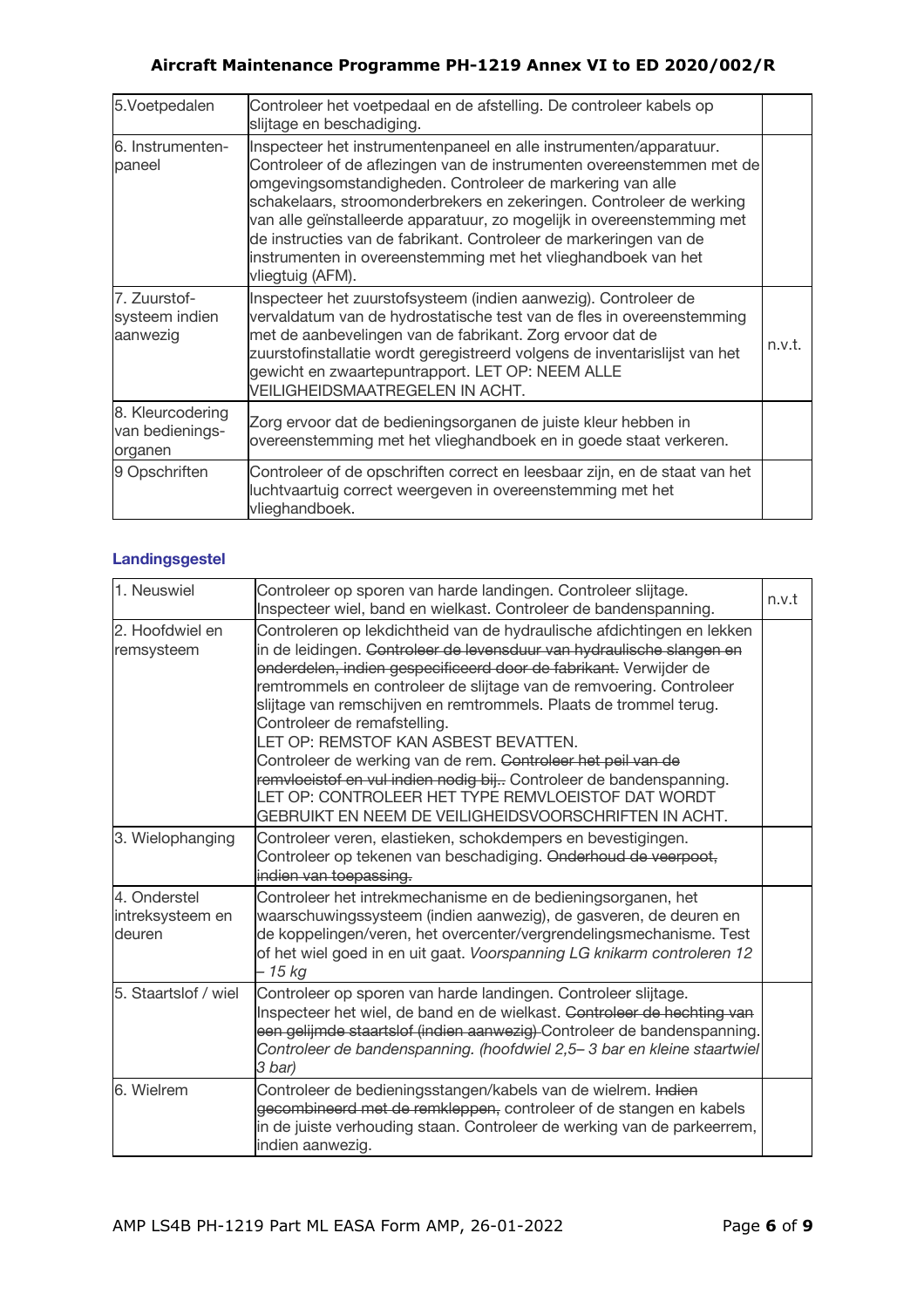| 5.Voetpedalen                                  | Controleer het voetpedaal en de afstelling. De controleer kabels op<br>slijtage en beschadiging.                                                                                                                                                                                                                                                                                                                                                                                                                     |        |
|------------------------------------------------|----------------------------------------------------------------------------------------------------------------------------------------------------------------------------------------------------------------------------------------------------------------------------------------------------------------------------------------------------------------------------------------------------------------------------------------------------------------------------------------------------------------------|--------|
| 6. Instrumenten-<br>paneel                     | Inspecteer het instrumentenpaneel en alle instrumenten/apparatuur.<br>Controleer of de aflezingen van de instrumenten overeenstemmen met de<br>omgevingsomstandigheden. Controleer de markering van alle<br>schakelaars, stroomonderbrekers en zekeringen. Controleer de werking<br>van alle geïnstalleerde apparatuur, zo mogelijk in overeenstemming met<br>de instructies van de fabrikant. Controleer de markeringen van de<br>instrumenten in overeenstemming met het vlieghandboek van het<br>vliegtuig (AFM). |        |
| 7. Zuurstof-<br>systeem indien<br>aanwezig     | Inspecteer het zuurstofsysteem (indien aanwezig). Controleer de<br>vervaldatum van de hydrostatische test van de fles in overeenstemming<br>met de aanbevelingen van de fabrikant. Zorg ervoor dat de<br>zuurstofinstallatie wordt geregistreerd volgens de inventarislijst van het<br>gewicht en zwaartepuntrapport. LET OP: NEEM ALLE<br>VEILIGHEIDSMAATREGELEN IN ACHT.                                                                                                                                           | n.v.t. |
| 8. Kleurcodering<br>van bedienings-<br>organen | Zorg ervoor dat de bedieningsorganen de juiste kleur hebben in<br>overeenstemming met het vlieghandboek en in goede staat verkeren.                                                                                                                                                                                                                                                                                                                                                                                  |        |
| 9 Opschriften                                  | Controleer of de opschriften correct en leesbaar zijn, en de staat van het<br>luchtvaartuig correct weergeven in overeenstemming met het<br>vlieghandboek.                                                                                                                                                                                                                                                                                                                                                           |        |

## **Landingsgestel**

| 1. Neuswiel                                | Controleer op sporen van harde landingen. Controleer slijtage.<br>Inspecteer wiel, band en wielkast. Controleer de bandenspanning.                                                                                                                                                                                                                                                                                                                                                                                                                                                                                                                                                                                  | n.v.t |
|--------------------------------------------|---------------------------------------------------------------------------------------------------------------------------------------------------------------------------------------------------------------------------------------------------------------------------------------------------------------------------------------------------------------------------------------------------------------------------------------------------------------------------------------------------------------------------------------------------------------------------------------------------------------------------------------------------------------------------------------------------------------------|-------|
| 2. Hoofdwiel en<br>remsysteem              | Controleren op lekdichtheid van de hydraulische afdichtingen en lekken<br>in de leidingen. <del>Controleer de levensduur van hydraulische slangen en</del><br>onderdelen, indien gespecificeerd door de fabrikant. Verwijder de<br>remtrommels en controleer de slijtage van de remvoering. Controleer<br>slijtage van remschijven en remtrommels. Plaats de trommel terug.<br>Controleer de remafstelling.<br>LET OP: REMSTOF KAN ASBEST BEVATTEN.<br>Controleer de werking van de rem. <del>Controleer het peil van de</del><br>remvloeistof en vul indien nodig bij Controleer de bandenspanning.<br>LET OP: CONTROLEER HET TYPE REMVLOEISTOF DAT WORDT<br>GEBRUIKT EN NEEM DE VEILIGHEIDSVOORSCHRIFTEN IN ACHT. |       |
| 3. Wielophanging                           | Controleer veren, elastieken, schokdempers en bevestigingen.<br>Controleer op tekenen van beschadiging. Onderhoud de veerpoot,<br>indien van toepassing.                                                                                                                                                                                                                                                                                                                                                                                                                                                                                                                                                            |       |
| 4. Onderstel<br>intreksysteem en<br>deuren | Controleer het intrekmechanisme en de bedieningsorganen, het<br>waarschuwingssysteem (indien aanwezig), de gasveren, de deuren en<br>de koppelingen/veren, het overcenter/vergrendelingsmechanisme. Test<br>of het wiel goed in en uit gaat. Voorspanning LG knikarm controleren 12<br>– 15 kg                                                                                                                                                                                                                                                                                                                                                                                                                      |       |
| 5. Staartslof / wiel                       | Controleer op sporen van harde landingen. Controleer slijtage.<br>Inspecteer het wiel, de band en de wielkast. Controleer de hechting van<br>een gelijmde staartslof (indien aanwezig) Controleer de bandenspanning.<br>Controleer de bandenspanning. (hoofdwiel 2,5–3 bar en kleine staartwiel<br>3 bar)                                                                                                                                                                                                                                                                                                                                                                                                           |       |
| 6. Wielrem                                 | Controleer de bedieningsstangen/kabels van de wielrem. Indien<br>gecombineerd met de remkleppen, controleer of de stangen en kabels<br>in de juiste verhouding staan. Controleer de werking van de parkeerrem,<br>indien aanwezig.                                                                                                                                                                                                                                                                                                                                                                                                                                                                                  |       |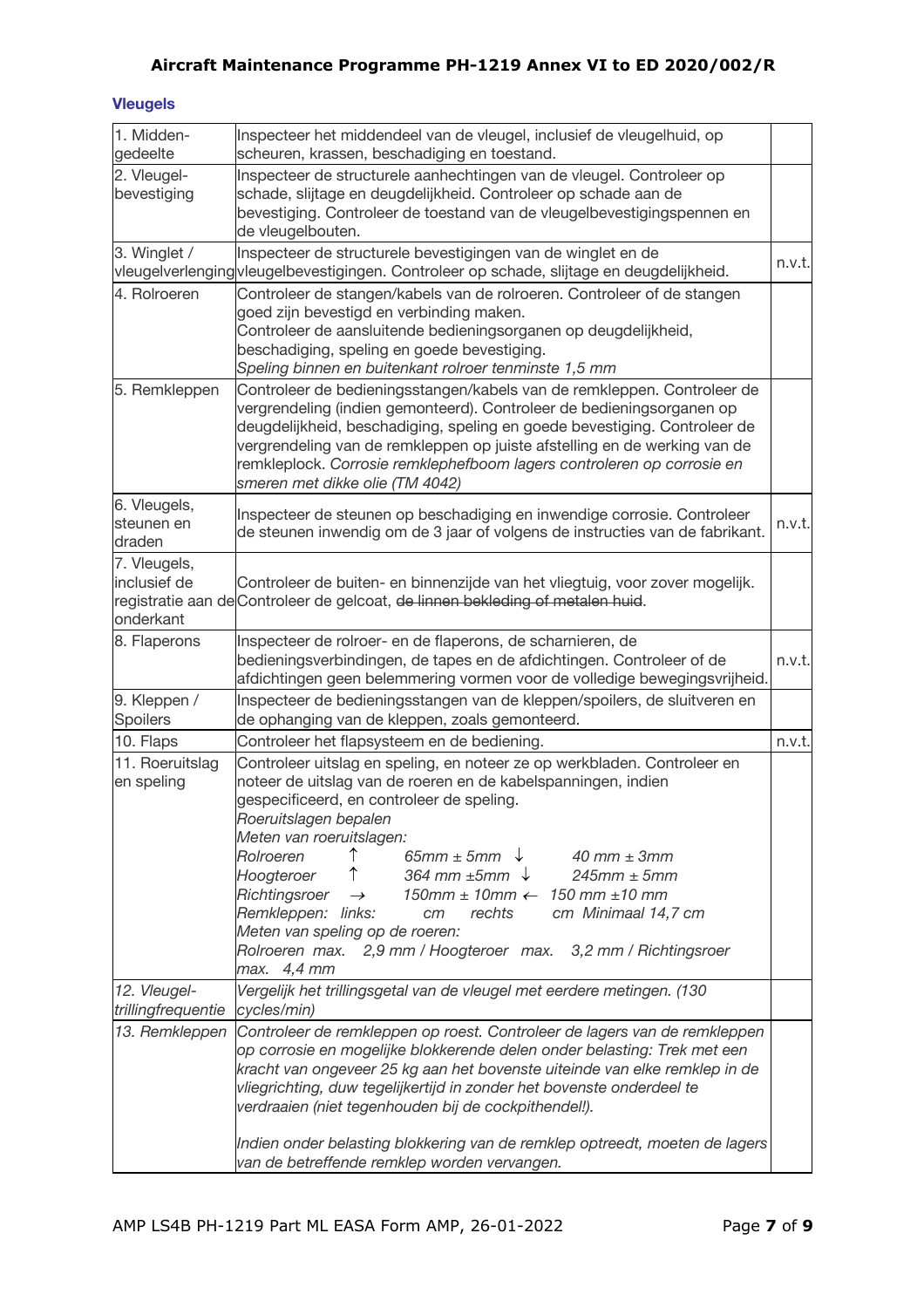## **Vleugels**

| 1. Midden-<br>gedeelte                    | Inspecteer het middendeel van de vleugel, inclusief de vleugelhuid, op<br>scheuren, krassen, beschadiging en toestand.                                                                                                                                                                                                                                                                                                                              |        |
|-------------------------------------------|-----------------------------------------------------------------------------------------------------------------------------------------------------------------------------------------------------------------------------------------------------------------------------------------------------------------------------------------------------------------------------------------------------------------------------------------------------|--------|
| 2. Vleugel-<br>bevestiging                | Inspecteer de structurele aanhechtingen van de vleugel. Controleer op<br>schade, slijtage en deugdelijkheid. Controleer op schade aan de<br>bevestiging. Controleer de toestand van de vleugelbevestigingspennen en<br>de vleugelbouten.                                                                                                                                                                                                            |        |
| 3. Winglet /                              | Inspecteer de structurele bevestigingen van de winglet en de<br>vleugelverlenging vleugelbevestigingen. Controleer op schade, slijtage en deugdelijkheid.                                                                                                                                                                                                                                                                                           | n.v.t. |
| 4. Rolroeren                              | Controleer de stangen/kabels van de rolroeren. Controleer of de stangen<br>goed zijn bevestigd en verbinding maken.<br>Controleer de aansluitende bedieningsorganen op deugdelijkheid,<br>beschadiging, speling en goede bevestiging.<br>Speling binnen en buitenkant rolroer tenminste 1,5 mm                                                                                                                                                      |        |
| 5. Remkleppen                             | Controleer de bedieningsstangen/kabels van de remkleppen. Controleer de<br>vergrendeling (indien gemonteerd). Controleer de bedieningsorganen op<br>deugdelijkheid, beschadiging, speling en goede bevestiging. Controleer de<br>vergrendeling van de remkleppen op juiste afstelling en de werking van de<br>remkleplock. Corrosie remklephefboom lagers controleren op corrosie en<br>smeren met dikke olie (TM 4042)                             |        |
| 6. Vleugels,<br>steunen en<br>draden      | Inspecteer de steunen op beschadiging en inwendige corrosie. Controleer<br>de steunen inwendig om de 3 jaar of volgens de instructies van de fabrikant.                                                                                                                                                                                                                                                                                             | n.v.t. |
| 7. Vleugels,<br>inclusief de<br>onderkant | Controleer de buiten- en binnenzijde van het vliegtuig, voor zover mogelijk.<br>registratie aan de Controleer de gelcoat, de linnen bekleding of metalen huid.                                                                                                                                                                                                                                                                                      |        |
| 8. Flaperons                              | Inspecteer de rolroer- en de flaperons, de scharnieren, de<br>bedieningsverbindingen, de tapes en de afdichtingen. Controleer of de<br>afdichtingen geen belemmering vormen voor de volledige bewegingsvrijheid.                                                                                                                                                                                                                                    | n.v.t. |
| 9. Kleppen /<br>Spoilers                  | Inspecteer de bedieningsstangen van de kleppen/spoilers, de sluitveren en<br>de ophanging van de kleppen, zoals gemonteerd.                                                                                                                                                                                                                                                                                                                         |        |
| 10. Flaps                                 | Controleer het flapsysteem en de bediening.                                                                                                                                                                                                                                                                                                                                                                                                         | n.v.t. |
| 11. Roeruitslag<br>en speling             | Controleer uitslag en speling, en noteer ze op werkbladen. Controleer en<br>noteer de uitslag van de roeren en de kabelspanningen, indien<br>gespecificeerd, en controleer de speling.<br>Roeruitslagen bepalen<br>Meten van roeruitslagen:                                                                                                                                                                                                         |        |
|                                           | $\uparrow$<br>$65mm \pm 5mm$<br>Rolroeren<br>40 mm $\pm$ 3mm<br>↑<br>364 mm $\pm$ 5mm $\downarrow$<br>Hoogteroer<br>$245$ mm $\pm$ 5mm<br>Richtingsroer<br>$150$ mm $\pm$ 10mm $\leftarrow$ 150 mm $\pm$ 10 mm<br>$\rightarrow$<br>Remkleppen: links:<br>rechts<br>cm Minimaal 14,7 cm<br>cm<br>Meten van speling op de roeren:<br>Rolroeren max. 2,9 mm / Hoogteroer max. 3,2 mm / Richtingsroer<br>max. 4,4 mm                                    |        |
| 12. Vleugel-<br>trillingfrequentie        | Vergelijk het trillingsgetal van de vleugel met eerdere metingen. (130<br>cycles/min)                                                                                                                                                                                                                                                                                                                                                               |        |
| 13. Remkleppen                            | Controleer de remkleppen op roest. Controleer de lagers van de remkleppen<br>op corrosie en mogelijke blokkerende delen onder belasting: Trek met een<br>kracht van ongeveer 25 kg aan het bovenste uiteinde van elke remklep in de<br>vliegrichting, duw tegelijkertijd in zonder het bovenste onderdeel te<br>verdraaien (niet tegenhouden bij de cockpithendel!).<br>Indien onder belasting blokkering van de remklep optreedt, moeten de lagers |        |
|                                           | van de betreffende remklep worden vervangen.                                                                                                                                                                                                                                                                                                                                                                                                        |        |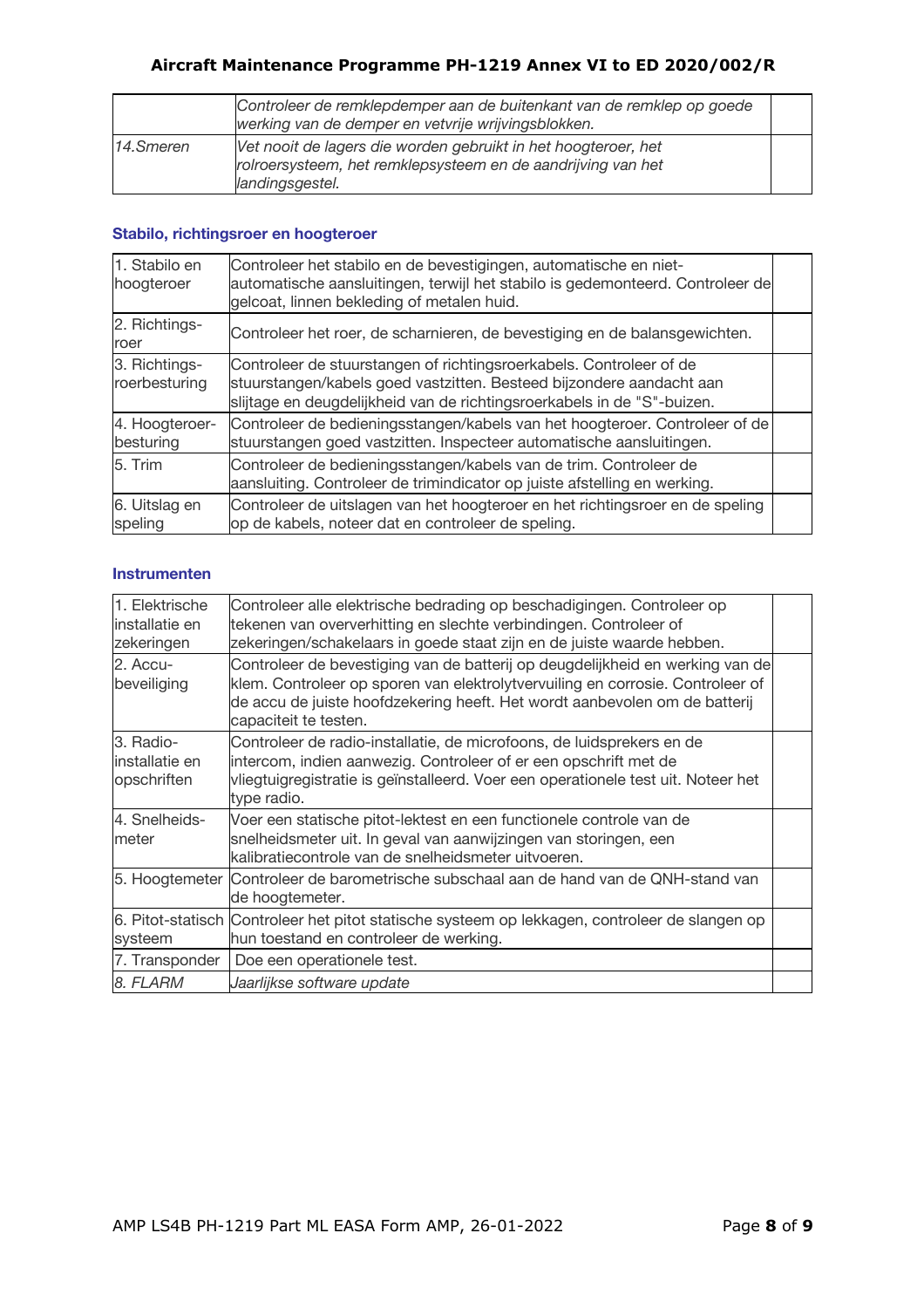|           | Controleer de remklepdemper aan de buitenkant van de remklep op goede<br>werking van de demper en vetvrije wrijvingsblokken.                      |  |
|-----------|---------------------------------------------------------------------------------------------------------------------------------------------------|--|
| 14.Smeren | Vet nooit de lagers die worden gebruikt in het hoogteroer, het<br>rolroersysteem, het remklepsysteem en de aandrijving van het<br>landingsgestel. |  |

## **Stabilo, richtingsroer en hoogteroer**

| 1. Stabilo en<br>hoogteroer    | Controleer het stabilo en de bevestigingen, automatische en niet-<br>automatische aansluitingen, terwijl het stabilo is gedemonteerd. Controleer de<br>gelcoat, linnen bekleding of metalen huid.                      |  |
|--------------------------------|------------------------------------------------------------------------------------------------------------------------------------------------------------------------------------------------------------------------|--|
| 2. Richtings-<br>roer          | Controleer het roer, de scharnieren, de bevestiging en de balansgewichten.                                                                                                                                             |  |
| 3. Richtings-<br>roerbesturing | Controleer de stuurstangen of richtingsroerkabels. Controleer of de<br>stuurstangen/kabels goed vastzitten. Besteed bijzondere aandacht aan<br>slijtage en deugdelijkheid van de richtingsroerkabels in de "S"-buizen. |  |
| 4. Hoogteroer-<br>besturing    | Controleer de bedieningsstangen/kabels van het hoogteroer. Controleer of de<br>stuurstangen goed vastzitten. Inspecteer automatische aansluitingen.                                                                    |  |
| 5. Trim                        | Controleer de bedieningsstangen/kabels van de trim. Controleer de<br>aansluiting. Controleer de trimindicator op juiste afstelling en werking.                                                                         |  |
| 6. Uitslag en<br>speling       | Controleer de uitslagen van het hoogteroer en het richtingsroer en de speling<br>op de kabels, noteer dat en controleer de speling.                                                                                    |  |

### **Instrumenten**

| 1. Elektrische<br>installatie en<br>zekeringen | Controleer alle elektrische bedrading op beschadigingen. Controleer op<br>tekenen van oververhitting en slechte verbindingen. Controleer of<br>zekeringen/schakelaars in goede staat zijn en de juiste waarde hebben.                                                  |  |
|------------------------------------------------|------------------------------------------------------------------------------------------------------------------------------------------------------------------------------------------------------------------------------------------------------------------------|--|
| 2. Accu-<br>beveiliging                        | Controleer de bevestiging van de batterij op deugdelijkheid en werking van de<br>klem. Controleer op sporen van elektrolytvervuiling en corrosie. Controleer of<br>de accu de juiste hoofdzekering heeft. Het wordt aanbevolen om de batterij<br>capaciteit te testen. |  |
| 3. Radio-<br>installatie en<br>opschriften     | Controleer de radio-installatie, de microfoons, de luidsprekers en de<br>intercom, indien aanwezig. Controleer of er een opschrift met de<br>vliegtuigregistratie is geïnstalleerd. Voer een operationele test uit. Noteer het<br>type radio.                          |  |
| 4. Snelheids-<br>meter                         | Voer een statische pitot-lektest en een functionele controle van de<br>snelheidsmeter uit. In geval van aanwijzingen van storingen, een<br>kalibratiecontrole van de snelheidsmeter uitvoeren.                                                                         |  |
|                                                | 5. Hoogtemeter  Controleer de barometrische subschaal aan de hand van de QNH-stand van<br>de hoogtemeter.                                                                                                                                                              |  |
| systeem                                        | 6. Pitot-statisch Controleer het pitot statische systeem op lekkagen, controleer de slangen op<br>hun toestand en controleer de werking.                                                                                                                               |  |
| 7. Transponder                                 | Doe een operationele test.                                                                                                                                                                                                                                             |  |
| 8. FLARM                                       | Jaarlijkse software update                                                                                                                                                                                                                                             |  |